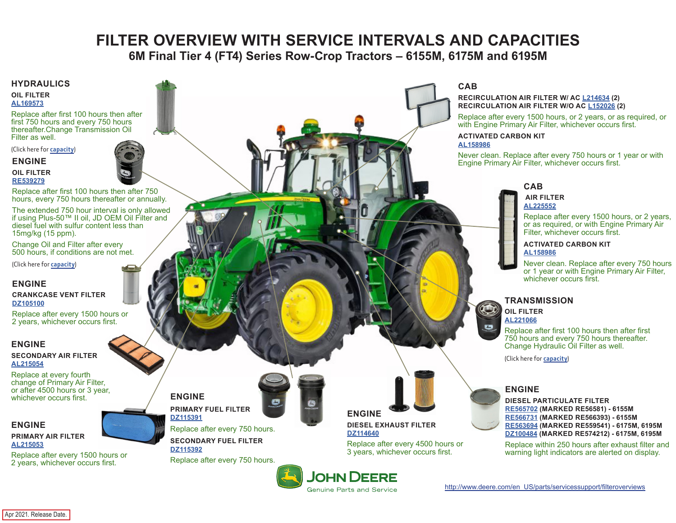# **FILTER OVERVIEW WITH SERVICE INTERVALS AND CAPACITIES**

**6M Final Tier 4 (FT4) Series Row-Crop Tractors – 6155M, 6175M and 6195M**

#### <span id="page-0-0"></span>**HYDRAULICS**

**OIL FILTER [AL169573](https://jdparts.deere.com/servlet/com.deere.u90.jdparts.view.servlets.partinfocontroller.PartDetails?screenName=JDSearch&&partSearchNumber=AL169573)**

Replace after first 100 hours then after first 750 hours and every 750 hours thereafter.Change Transmission Oil Filter as well.

(Click here for **[capacity](#page-1-0)**)

**ENGINE OIL FILTER**

**[RE539279](https://jdparts.deere.com/servlet/com.deere.u90.jdparts.view.servlets.partinfocontroller.PartDetails?screenName=JDSearch&&partSearchNumber=RE539279)**

Replace after first 100 hours then after 750 hours, every 750 hours thereafter or annually.

The extended 750 hour interval is only allowed if using Plus-50™ II oil, JD OEM Oil Filter and diesel fuel with sulfur content less than 15mg/kg (15 ppm).

Change Oil and Filter after every 500 hours, if conditions are not met.

(Click here for **[capacity](#page-1-0)**)

#### **ENGINE**

**CRANKCASE VENT FILTER [DZ105100](https://jdparts.deere.com/servlet/com.deere.u90.jdparts.view.servlets.partinfocontroller.PartDetails?screenName=JDSearch&&partSearchNumber=DZ105100)**

Replace after every 1500 hours or 2 years, whichever occurs first.

#### **ENGINE**

**SECONDARY AIR FILTER [AL215054](https://jdparts.deere.com/servlet/com.deere.u90.jdparts.view.servlets.partinfocontroller.PartDetails?screenName=JDSearch&&partSearchNumber=AL215054)**

Replace at every fourth change of Primary Air Filter, or after 4500 hours or 3 year, whichever occurs first.

## **ENGINE**

**PRIMARY AIR FILTER [AL215053](https://jdparts.deere.com/servlet/com.deere.u90.jdparts.view.servlets.partinfocontroller.PartDetails?screenName=JDSearch&&partSearchNumber=AL215053)**

Replace after every 1500 hours or 2 years, whichever occurs first.



Replace after every 750 hours. **SECONDARY FUEL FILTER**

**[DZ115392](https://jdparts.deere.com/servlet/com.deere.u90.jdparts.view.servlets.partinfocontroller.PartDetails?screenName=JDSearch&&partSearchNumber=DZ115392)**

Replace after every 750 hours.



**ENGINE DIESEL EXHAUST FILTER DZ114640**

**JOHN DEERE Genuine Parts and Service** 

Replace after every 4500 hours or 3 years, whichever occurs first.



**RECIRCULATION AIR FILTER W/ AC [L214634](https://jdparts.deere.com/servlet/com.deere.u90.jdparts.view.servlets.partinfocontroller.PartDetails?screenName=JDSearch&&partSearchNumber=L214634) (2) RECIRCULATION AIR FILTER W/O AC [L152026](https://jdparts.deere.com/servlet/com.deere.u90.jdparts.view.servlets.partinfocontroller.PartDetails?screenName=JDSearch&&partSearchNumber=L152026) (2)**

Replace after every 1500 hours, or 2 years, or as required, or with Engine Primary Air Filter, whichever occurs first.

#### **ACTIVATED CARBON KIT [AL158986](https://jdparts.deere.com/servlet/com.deere.u90.jdparts.view.servlets.partinfocontroller.PartDetails?screenName=JDSearch&&partSearchNumber=AL158986)**

Never clean. Replace after every 750 hours or 1 year or with Engine Primary Air Filter, whichever occurs first.

# **CAB**

#### **AIR FILTER [AL225552](https://jdparts.deere.com/servlet/com.deere.u90.jdparts.view.servlets.partinfocontroller.PartDetails?screenName=JDSearch&&partSearchNumber=AL225552)**

Replace after every 1500 hours, or 2 years, or as required, or with Engine Primary Air Filter, whichever occurs first.

#### **ACTIVATED CARBON KIT [AL158986](https://jdparts.deere.com/servlet/com.deere.u90.jdparts.view.servlets.partinfocontroller.PartDetails?screenName=JDSearch&&partSearchNumber=AL158986)**

Never clean. Replace after every 750 hours or 1 year or with Engine Primary Air Filter, whichever occurs first.

## **TRANSMISSION**

**OIL FILTER [AL221066](https://jdparts.deere.com/servlet/com.deere.u90.jdparts.view.servlets.partinfocontroller.PartDetails?screenName=JDSearch&&partSearchNumber=AL221066)**

 $\bullet$ 

Replace after first 100 hours then after first 750 hours and every 750 hours thereafter. Change Hydraulic Oil Filter as well.

(Click here for **[capacity](#page-1-0)**)

#### **ENGINE**

**DIESEL PARTICULATE FILTER [RE565702](https://jdparts.deere.com/servlet/com.deere.u90.jdparts.view.servlets.partinfocontroller.PartDetails?screenName=JDSearch&&partSearchNumber=RE565702) (MARKED RE56581) - 6155M [RE566731](https://jdparts.deere.com/servlet/com.deere.u90.jdparts.view.servlets.partinfocontroller.PartDetails?screenName=JDSearch&&partSearchNumber=RE566731) (MARKED RE566393) - 6155M [RE563694](https://jdparts.deere.com/servlet/com.deere.u90.jdparts.view.servlets.partinfocontroller.PartDetails?screenName=JDSearch&&partSearchNumber=RE563694) (MARKED RE559541) - 6175M, 6195M [DZ100484](https://jdparts.deere.com/servlet/com.deere.u90.jdparts.view.servlets.partinfocontroller.PartDetails?screenName=JDSearch&&partSearchNumber=DZ100484) (MARKED RE574212) - 6175M, 6195M**

Replace within 250 hours after exhaust filter and warning light indicators are alerted on display.

[http://www.deere.com/en\\_US/parts/servicessupport/filteroverviews](http://www.deere.com/en_US/parts/servicessupport/filteroverviews)

Apr 2021. Release Date.